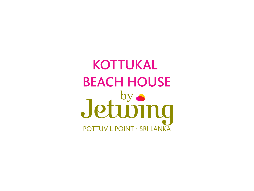**KOTTUKAL BEACH HOUSE** Jetuving **POTTUVIL POINT · SRI LANKA**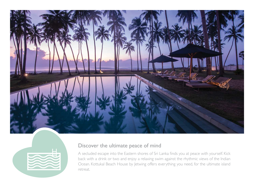



## Discover the ultimate peace of mind

A secluded escape into the Eastern shores of Sri Lanka finds you at peace with yourself. Kick back with a drink or two and enjoy a relaxing swim against the rhythmic views of the Indian Ocean. Kottukal Beach House by Jetwing offers everything you need, for the ultimate island retreat.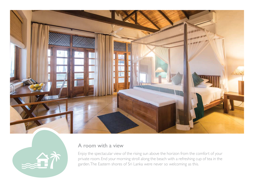



### A room with a view

Enjoy the spectacular view of the rising sun above the horizon from the comfort of your private room. End your morning stroll along the beach with a refreshing cup of tea in the garden. The Eastern shores of Sri Lanka were never so welcoming as this.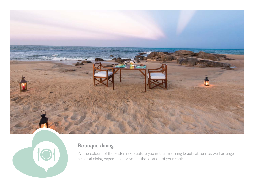

![](_page_3_Picture_1.jpeg)

# Boutique dining

As the colours of the Eastern sky capture you in their morning beauty at sunrise, we'll arrange a special dining experience for you at the location of your choice.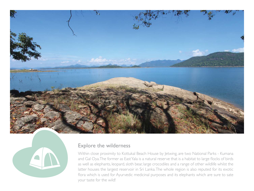![](_page_4_Picture_0.jpeg)

![](_page_4_Picture_1.jpeg)

## Explore the wilderness

Within close proximity to Kottukal Beach House by Jetwing, are two National Parks - Kumana and Gal Oya. The former as East Yala is a natural reserve that is a habitat to large flocks of birds as well as elephants, leopard, sloth bear, large crocodiles and a range of other wildlife whilst the latter houses the largest reservoir in Sri Lanka. The whole region is also reputed for its exotic flora which is used for Ayurvedic medicinal purposes and its elephants which are sure to sate your taste for the wild!